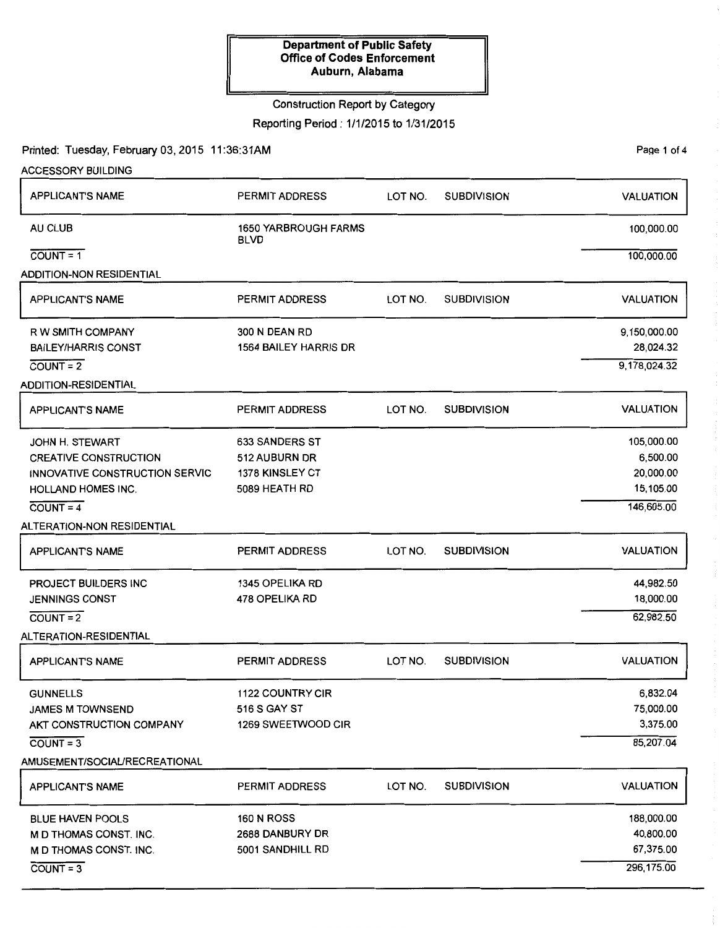# Construction Report by Category

Reporting Period: 1/1/2015 to 1/31/2015

## Printed: Tuesday, February 03, 2015 11:36:31AM

PaQe 1 of 4

| <b>ACCESSORY BUILDING</b>       |                                            |         |                    |                  |
|---------------------------------|--------------------------------------------|---------|--------------------|------------------|
| <b>APPLICANT'S NAME</b>         | PERMIT ADDRESS                             | LOT NO. | <b>SUBDIVISION</b> | <b>VALUATION</b> |
| AU CLUB                         | <b>1650 YARBROUGH FARMS</b><br><b>BLVD</b> |         |                    | 100,000.00       |
| $COUNT = 1$                     |                                            |         |                    | 100,000.00       |
| <b>ADDITION-NON RESIDENTIAL</b> |                                            |         |                    |                  |
| <b>APPLICANT'S NAME</b>         | PERMIT ADDRESS                             | LOT NO. | <b>SUBDIVISION</b> | <b>VALUATION</b> |
| R W SMITH COMPANY               | 300 N DEAN RD                              |         |                    | 9,150,000.00     |
| <b>BAILEY/HARRIS CONST</b>      | <b>1564 BAILEY HARRIS DR</b>               |         |                    | 28,024.32        |
| $COUNT = 2$                     |                                            |         |                    | 9,178,024.32     |
| <b>ADDITION-RESIDENTIAL</b>     |                                            |         |                    |                  |
| <b>APPLICANT'S NAME</b>         | PERMIT ADDRESS                             | LOT NO. | <b>SUBDIVISION</b> | <b>VALUATION</b> |
| <b>JOHN H. STEWART</b>          | <b>633 SANDERS ST</b>                      |         |                    | 105,000.00       |
| <b>CREATIVE CONSTRUCTION</b>    | 512 AUBURN DR                              |         |                    | 6,500.00         |
| INNOVATIVE CONSTRUCTION SERVIC  | 1378 KINSLEY CT                            |         |                    | 20,000.00        |
| <b>HOLLAND HOMES INC.</b>       | 5089 HEATH RD                              |         |                    | 15,105.00        |
| $\overline{COUNT} = 4$          |                                            |         |                    | 146,605.00       |
| ALTERATION-NON RESIDENTIAL      |                                            |         |                    |                  |
| <b>APPLICANTS NAME</b>          | PERMIT ADDRESS                             | LOT NO. | <b>SUBDIVISION</b> | <b>VALUATION</b> |
| PROJECT BUILDERS INC            | 1345 OPELIKA RD                            |         |                    | 44,982.50        |
| <b>JENNINGS CONST</b>           | 478 OPELIKA RD                             |         |                    | 18,000.00        |
| $COUNT = 2$                     |                                            |         |                    | 62,982.50        |
| ALTERATION-RESIDENTIAL          |                                            |         |                    |                  |
| <b>APPLICANT'S NAME</b>         | <b>PERMIT ADDRESS</b>                      | LOT NO. | <b>SUBDIVISION</b> | <b>VALUATION</b> |
| <b>GUNNELLS</b>                 | <b>1122 COUNTRY CIR</b>                    |         |                    | 6,832.04         |
| <b>JAMES M TOWNSEND</b>         | 516 S GAY ST                               |         |                    | 75,000.00        |
| AKT CONSTRUCTION COMPANY        | 1269 SWEETWOOD CIR                         |         |                    | 3,375.00         |
| $CQUNT = 3$                     |                                            |         |                    | 85,207.04        |
| AMUSEMENT/SOCIAL/RECREATIONAL   |                                            |         |                    |                  |
| <b>APPLICANT'S NAME</b>         | PERMIT ADDRESS                             | LOT NO. | <b>SUBDIVISION</b> | <b>VALUATION</b> |
| <b>BLUE HAVEN POOLS</b>         | <b>160 N ROSS</b>                          |         |                    | 188,000.00       |
| M D THOMAS CONST. INC.          | 2688 DANBURY DR                            |         |                    | 40,800.00        |
| M D THOMAS CONST. INC.          | 5001 SANDHILL RD                           |         |                    | 67,375.00        |
| $\overline{COUNT} = 3$          |                                            |         |                    | 296, 175.00      |
|                                 |                                            |         |                    |                  |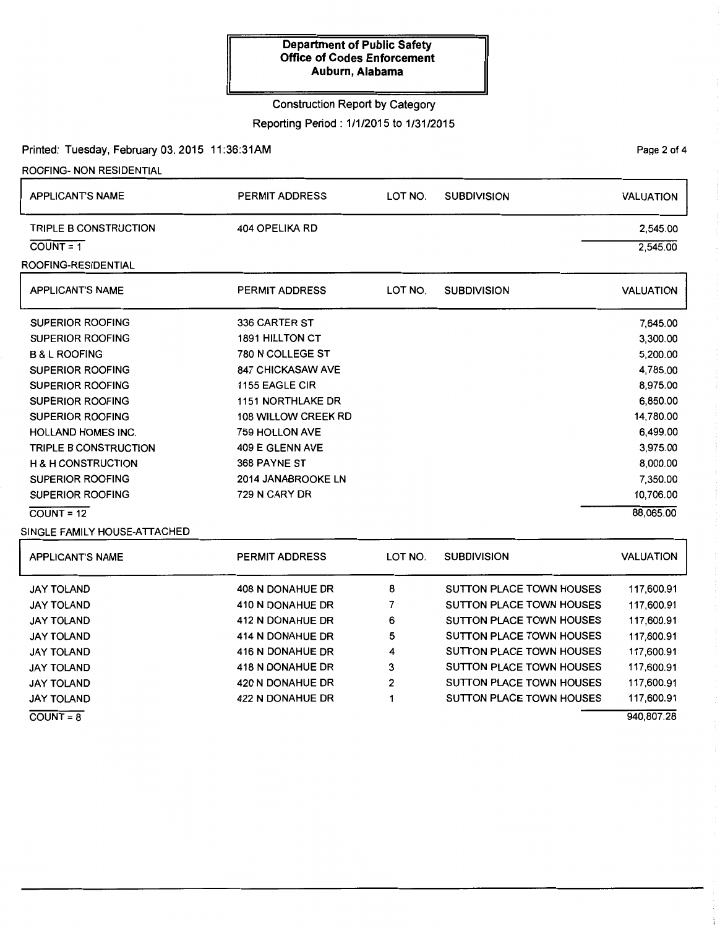# Construction Report by Category

Reporting Period: 1/1/2015 to 1/31/2015

## Printed: Tuesday, February 03, 2015 11:36:31AM

ROOFING- NON RESIDENTIAL

 $COUNT = 8$ 

| <b>APPLICANT'S NAME</b>       | <b>PERMIT ADDRESS</b>    | LOT NO.                       | <b>SUBDIVISION</b>              | <b>VALUATION</b> |  |  |
|-------------------------------|--------------------------|-------------------------------|---------------------------------|------------------|--|--|
| <b>TRIPLE B CONSTRUCTION</b>  | 404 OPELIKA RD           |                               |                                 | 2,545.00         |  |  |
| $COUNT = 1$                   |                          |                               |                                 | 2,545.00         |  |  |
| ROOFING-RESIDENTIAL           |                          |                               |                                 |                  |  |  |
| <b>APPLICANT'S NAME</b>       | <b>PERMIT ADDRESS</b>    | LOT NO.                       | <b>SUBDIVISION</b>              | <b>VALUATION</b> |  |  |
| <b>SUPERIOR ROOFING</b>       | <b>336 CARTER ST</b>     |                               |                                 | 7,645.00         |  |  |
| <b>SUPERIOR ROOFING</b>       | <b>1891 HILLTON CT</b>   |                               |                                 |                  |  |  |
| <b>B &amp; L ROOFING</b>      | 780 N COLLEGE ST         |                               | 5,200.00                        |                  |  |  |
| SUPERIOR ROOFING              | <b>847 CHICKASAW AVE</b> |                               |                                 | 4,785.00         |  |  |
| <b>SUPERIOR ROOFING</b>       | 1155 EAGLE CIR           |                               |                                 | 8,975.00         |  |  |
| <b>SUPERIOR ROOFING</b>       | <b>1151 NORTHLAKE DR</b> |                               |                                 | 6,850.00         |  |  |
| <b>SUPERIOR ROOFING</b>       | 108 WILLOW CREEK RD      |                               |                                 | 14,780.00        |  |  |
| <b>HOLLAND HOMES INC.</b>     | 759 HOLLON AVE           |                               | 6,499.00                        |                  |  |  |
| <b>TRIPLE B CONSTRUCTION</b>  | 409 E GLENN AVE          |                               | 3,975.00                        |                  |  |  |
| <b>H &amp; H CONSTRUCTION</b> | 368 PAYNE ST             | 8,000.00                      |                                 |                  |  |  |
| <b>SUPERIOR ROOFING</b>       | 2014 JANABROOKE LN       |                               |                                 |                  |  |  |
| <b>SUPERIOR ROOFING</b>       | 729 N CARY DR            | 10,706.00                     |                                 |                  |  |  |
| $COUNT = 12$                  |                          |                               |                                 | 88,065.00        |  |  |
| SINGLE FAMILY HOUSE-ATTACHED  |                          |                               |                                 |                  |  |  |
| <b>APPLICANT'S NAME</b>       | <b>PERMIT ADDRESS</b>    | LOT NO.                       | <b>SUBDIVISION</b>              | <b>VALUATION</b> |  |  |
| <b>JAY TOLAND</b>             | 408 N DONAHUE DR         | 8                             | <b>SUTTON PLACE TOWN HOUSES</b> | 117,600.91       |  |  |
| <b>JAY TOLAND</b>             | 410 N DONAHUE DR         | 7                             | SUTTON PLACE TOWN HOUSES        | 117,600.91       |  |  |
| <b>JAY TOLAND</b>             | 412 N DONAHUE DR         | 6                             | <b>SUTTON PLACE TOWN HOUSES</b> |                  |  |  |
| <b>JAY TOLAND</b>             | 414 N DONAHUE DR         | 5                             | <b>SUTTON PLACE TOWN HOUSES</b> | 117,600.91       |  |  |
| <b>JAY TOLAND</b>             | 416 N DONAHUE DR         | 4                             | <b>SUTTON PLACE TOWN HOUSES</b> | 117,600.91       |  |  |
| <b>JAY TOLAND</b>             | 418 N DONAHUE DR         | 3                             | <b>SUTTON PLACE TOWN HOUSES</b> | 117,600.91       |  |  |
| <b>JAY TOLAND</b>             | 420 N DONAHUE DR         | 2                             | SUTTON PLACE TOWN HOUSES        | 117,600.91       |  |  |
| <b>JAY TOLAND</b>             | 422 N DONAHUE DR         | SUTTON PLACE TOWN HOUSES<br>1 |                                 |                  |  |  |

940,807.28

PaQe 2 of 4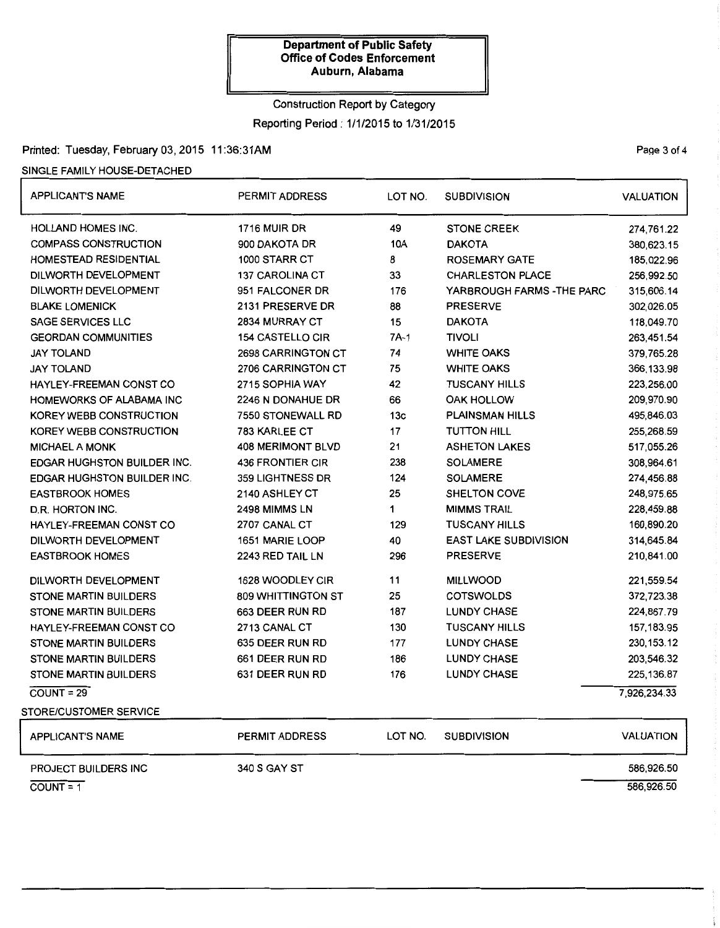# Construction Report by Category Reporting Period: 1/1/2015 to 1/31/2015

# Printed: Tuesday, February 03, 2015 11:36:31AM Page 3 of 4

### SINGLE FAMILY HOUSE-DETACHED

| <b>APPLICANT'S NAME</b>            | <b>PERMIT ADDRESS</b>                                   | LOT NO.                   | <b>SUBDIVISION</b>           | <b>VALUATION</b> |
|------------------------------------|---------------------------------------------------------|---------------------------|------------------------------|------------------|
| <b>HOLLAND HOMES INC.</b>          | <b>1716 MUIR DR</b>                                     | 49                        | <b>STONE CREEK</b>           | 274,761.22       |
| <b>COMPASS CONSTRUCTION</b>        | 900 DAKOTA DR                                           | 10A<br><b>DAKOTA</b>      |                              | 380,623.15       |
| <b>HOMESTEAD RESIDENTIAL</b>       | 1000 STARR CT                                           | 8<br><b>ROSEMARY GATE</b> |                              | 185,022.96       |
| DILWORTH DEVELOPMENT               | 33<br><b>CHARLESTON PLACE</b><br><b>137 CAROLINA CT</b> |                           |                              | 256,992.50       |
| DILWORTH DEVELOPMENT               | 951 FALCONER DR                                         | 176                       | YARBROUGH FARMS - THE PARC   | 315,606.14       |
| <b>BLAKE LOMENICK</b>              | 2131 PRESERVE DR                                        | 88                        | <b>PRESERVE</b>              | 302,026.05       |
| <b>SAGE SERVICES LLC</b>           | 2834 MURRAY CT                                          | 15                        | <b>DAKOTA</b>                | 118,049.70       |
| <b>GEORDAN COMMUNITIES</b>         | <b>154 CASTELLO CIR</b>                                 | 7A-1                      | <b>TIVOLI</b>                | 263,451.54       |
| JAY TOLAND                         | 2698 CARRINGTON CT                                      | 74                        | <b>WHITE OAKS</b>            | 379,765.28       |
| <b>JAY TOLAND</b>                  | 2706 CARRINGTON CT                                      | 75                        | <b>WHITE OAKS</b>            | 366,133.98       |
| HAYLEY-FREEMAN CONST CO            | 2715 SOPHIA WAY                                         | 42                        | <b>TUSCANY HILLS</b>         | 223,256.00       |
| HOMEWORKS OF ALABAMA INC           | 2246 N DONAHUE DR                                       | 66                        | <b>OAK HOLLOW</b>            | 209,970.90       |
| KOREY WEBB CONSTRUCTION            | 7550 STONEWALL RD                                       | 13 <sub>c</sub>           | <b>PLAINSMAN HILLS</b>       | 495,846.03       |
| KOREY WEBB CONSTRUCTION            | 783 KARLEE CT                                           | 17                        | <b>TUTTON HILL</b>           | 255,268.59       |
| <b>MICHAEL A MONK</b>              | <b>408 MERIMONT BLVD</b>                                | 21                        | <b>ASHETON LAKES</b>         | 517,055.26       |
| <b>EDGAR HUGHSTON BUILDER INC.</b> | <b>436 FRONTIER CIR</b>                                 | 238                       | <b>SOLAMERE</b>              | 308,964.61       |
| <b>EDGAR HUGHSTON BUILDER INC.</b> | 359 LIGHTNESS DR                                        | 124                       | <b>SOLAMERE</b>              | 274,456.88       |
| <b>EASTBROOK HOMES</b>             | 2140 ASHLEY CT                                          | 25                        | <b>SHELTON COVE</b>          | 248,975.65       |
| D.R. HORTON INC.                   | 2498 MIMMS LN                                           | 1                         | <b>MIMMS TRAIL</b>           | 228,459.88       |
| HAYLEY-FREEMAN CONST CO            | 2707 CANAL CT                                           | 129                       | <b>TUSCANY HILLS</b>         | 160,890.20       |
| DILWORTH DEVELOPMENT               | 1651 MARIE LOOP                                         | 40                        | <b>EAST LAKE SUBDIVISION</b> | 314,645.84       |
| <b>EASTBROOK HOMES</b>             | 2243 RED TAIL LN                                        | 296                       | <b>PRESERVE</b>              | 210,841.00       |
| DILWORTH DEVELOPMENT               | 1628 WOODLEY CIR                                        | 11                        | <b>MILLWOOD</b>              | 221,559.54       |
| <b>STONE MARTIN BUILDERS</b>       | 809 WHITTINGTON ST                                      | 25                        | <b>COTSWOLDS</b>             | 372,723.38       |
| <b>STONE MARTIN BUILDERS</b>       | 663 DEER RUN RD                                         | 187                       | <b>LUNDY CHASE</b>           | 224,867.79       |
| HAYLEY-FREEMAN CONST CO            | 2713 CANAL CT                                           | 130                       | <b>TUSCANY HILLS</b>         | 157,183.95       |
| <b>STONE MARTIN BUILDERS</b>       | 635 DEER RUN RD                                         | 177                       | <b>LUNDY CHASE</b>           | 230, 153. 12     |
| <b>STONE MARTIN BUILDERS</b>       | 661 DEER RUN RD                                         | 186                       | <b>LUNDY CHASE</b>           | 203,546.32       |
| STONE MARTIN BUILDERS              | 631 DEER RUN RD                                         | 176                       | <b>LUNDY CHASE</b>           | 225, 136.87      |
| $\overline{COUNT} = 29$            |                                                         |                           |                              | 7,926,234.33     |
| <b>STORE/CUSTOMER SERVICE</b>      |                                                         |                           |                              |                  |
| <b>APPLICANT'S NAME</b>            | PERMIT ADDRESS                                          | LOT NO.                   | <b>SUBDIVISION</b>           | <b>VALUATION</b> |
| <b>PROJECT BUILDERS INC</b>        | <b>340 S GAY ST</b>                                     |                           |                              | 586,926.50       |

 $\overline{\text{COUNT}} = 1$  586,926.50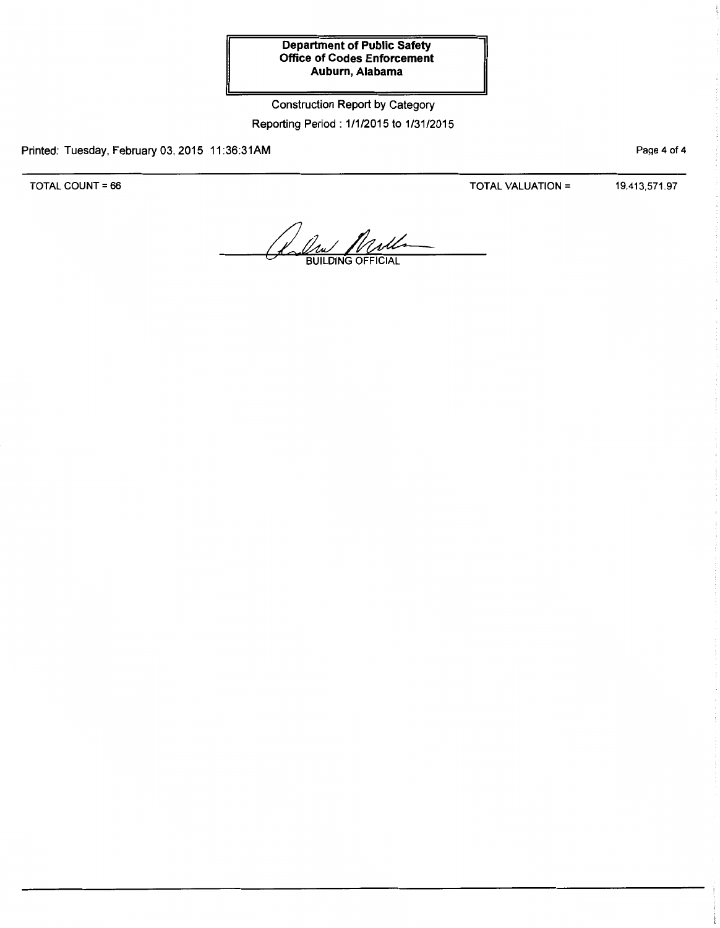# Construction Report by Category Reporting Period: 1/1/2015 to 1/31/2015

Printed: Tuesday, February 03, 2015 11:36:31AM

TOTAL COUNT= 66

TOTAL VALUATION= 19,413,571.97

PaQe 4 of 4

**BUILDING OF**